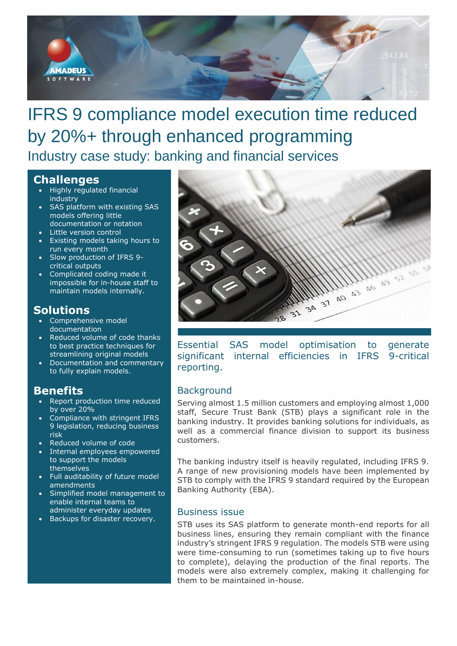

# IFRS 9 compliance model execution time reduced by 20%+ through enhanced programming Industry case study: banking and financial services

## **Challenges**

- Highly regulated financial industry
- SAS platform with existing SAS models offering little documentation or notation
- Little version control
- Existing models taking hours to run every month
- Slow production of IFRS 9 critical outputs
- Complicated coding made it impossible for in-house staff to maintain models internally.

## **Solutions**

- Comprehensive model documentation
- Reduced volume of code thanks to best practice techniques for streamlining original models
- Documentation and commentary to fully explain models.

## **Benefits**

- Report production time reduced by over 20%
- Compliance with stringent IFRS 9 legislation, reducing business risk
- Reduced volume of code
- Internal employees empowered to support the models themselves
- Full auditability of future model amendments
- Simplified model management to enable internal teams to administer everyday updates
- Backups for disaster recovery.



Essential SAS model optimisation to generate significant internal efficiencies in IFRS 9-critical reporting.

## **Background**

Serving almost 1.5 million customers and employing almost 1,000 staff, Secure Trust Bank (STB) plays a significant role in the banking industry. It provides banking solutions for individuals, as well as a commercial finance division to support its business customers.

The banking industry itself is heavily regulated, including IFRS 9. A range of new provisioning models have been implemented by STB to comply with the IFRS 9 standard required by the European Banking Authority (EBA).

### Business issue

STB uses its SAS platform to generate month-end reports for all business lines, ensuring they remain compliant with the finance industry's stringent IFRS 9 regulation. The models STB were using were time-consuming to run (sometimes taking up to five hours to complete), delaying the production of the final reports. The models were also extremely complex, making it challenging for them to be maintained in-house.